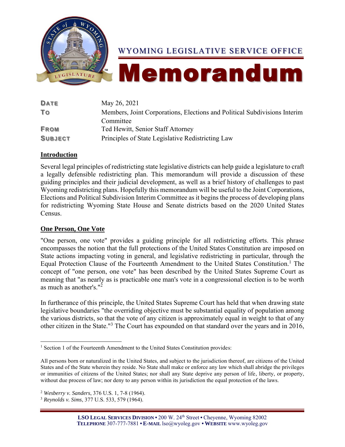

# WYOMING LEGISLATIVE SERVICE OFFICE

# Memorandum

| <b>DATE</b>    | May 26, 2021                                                              |
|----------------|---------------------------------------------------------------------------|
| To             | Members, Joint Corporations, Elections and Political Subdivisions Interim |
|                | Committee                                                                 |
| <b>FROM</b>    | Ted Hewitt, Senior Staff Attorney                                         |
| <b>SUBJECT</b> | Principles of State Legislative Redistricting Law                         |

# **Introduction**

Several legal principles of redistricting state legislative districts can help guide a legislature to craft a legally defensible redistricting plan. This memorandum will provide a discussion of these guiding principles and their judicial development, as well as a brief history of challenges to past Wyoming redistricting plans. Hopefully this memorandum will be useful to the Joint Corporations, Elections and Political Subdivision Interim Committee as it begins the process of developing plans for redistricting Wyoming State House and Senate districts based on the 2020 United States Census.

# **One Person, One Vote**

"One person, one vote" provides a guiding principle for all redistricting efforts. This phrase encompasses the notion that the full protections of the United States Constitution are imposed on State actions impacting voting in general, and legislative redistricting in particular, through the Equal Protection Clause of the Fourteenth Amendment to the United States Constitution.<sup>1</sup> The concept of "one person, one vote" has been described by the United States Supreme Court as meaning that "as nearly as is practicable one man's vote in a congressional election is to be worth as much as another's." 2

In furtherance of this principle, the United States Supreme Court has held that when drawing state legislative boundaries "the overriding objective must be substantial equality of population among the various districts, so that the vote of any citizen is approximately equal in weight to that of any other citizen in the State."<sup>3</sup> The Court has expounded on that standard over the years and in 2016,

<sup>&</sup>lt;sup>1</sup> Section 1 of the Fourteenth Amendment to the United States Constitution provides:

All persons born or naturalized in the United States, and subject to the jurisdiction thereof, are citizens of the United States and of the State wherein they reside. No State shall make or enforce any law which shall abridge the privileges or immunities of citizens of the United States; nor shall any State deprive any person of life, liberty, or property, without due process of law; nor deny to any person within its jurisdiction the equal protection of the laws.

<sup>2</sup> *Wesberry v. Sanders*, 376 U.S. 1, 7-8 (1964).

<sup>3</sup> *Reynolds v. Sims*, 377 U.S. 533, 579 (1964).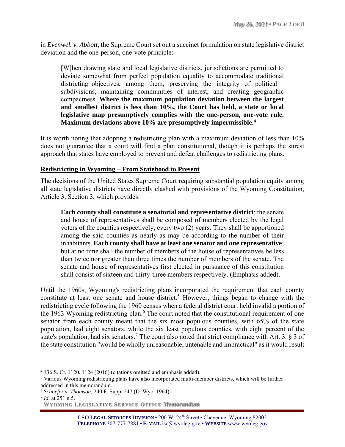in *Evenwel. v. Abbott*, the Supreme Court set out a succinct formulation on state legislative district deviation and the one-person, one-vote principle:

[W]hen drawing state and local legislative districts, jurisdictions are permitted to deviate somewhat from perfect population equality to accommodate traditional districting objectives, among them, preserving the integrity of political subdivisions, maintaining communities of interest, and creating geographic compactness. **Where the maximum population deviation between the largest and smallest district is less than 10%, the Court has held, a state or local legislative map presumptively complies with the one-person, one-vote rule. Maximum deviations above 10% are presumptively impermissible.<sup>4</sup>**

It is worth noting that adopting a redistricting plan with a maximum deviation of less than 10% does not guarantee that a court will find a plan constitutional, though it is perhaps the surest approach that states have employed to prevent and defeat challenges to redistricting plans.

# **Redistricting in Wyoming – From Statehood to Present**

The decisions of the United States Supreme Court requiring substantial population equity among all state legislative districts have directly clashed with provisions of the Wyoming Constitution, Article 3, Section 3, which provides:

**Each county shall constitute a senatorial and representative district**; the senate and house of representatives shall be composed of members elected by the legal voters of the counties respectively, every two (2) years. They shall be apportioned among the said counties as nearly as may be according to the number of their inhabitants. **Each county shall have at least one senator and one representative**; but at no time shall the number of members of the house of representatives be less than twice nor greater than three times the number of members of the senate. The senate and house of representatives first elected in pursuance of this constitution shall consist of sixteen and thirty-three members respectively. (Emphasis added).

Until the 1960s, Wyoming's redistricting plans incorporated the requirement that each county constitute at least one senate and house district.<sup>5</sup> However, things began to change with the redistricting cycle following the 1960 census when a federal district court held invalid a portion of the 1963 Wyoming redistricting plan.<sup>6</sup> The court noted that the constitutional requirement of one senator from each county meant that the six most populous counties, with 65% of the state population, had eight senators, while the six least populous counties, with eight percent of the state's population, had six senators.<sup>7</sup> The court also noted that strict compliance with Art. 3,  $\S$  3 of the state constitution "would be wholly unreasonable, untenable and impractical" as it would result

<sup>4</sup> 136 S. Ct. 1120, 1124 (2016) (citations omitted and emphasis added).

<sup>5</sup> Various Wyoming redistricting plans have also incorporated multi-member districts, which will be further addressed in this memorandum.

<sup>6</sup> *Schaefer v. Thomson*, 240 F. Supp. 247 (D. Wyo. 1964)

<sup>7</sup> *Id*. at 251 n.5.

**WYO MIN G LEG ISLAT IV E SERV ICE OFF ICE** *Memorandum*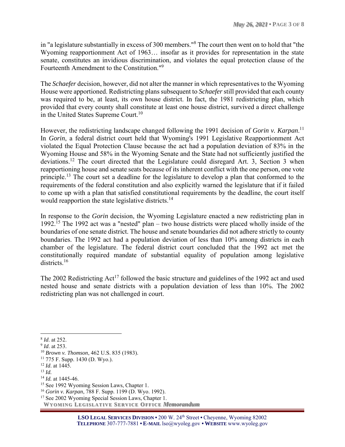in "a legislature substantially in excess of 300 members."<sup>8</sup> The court then went on to hold that "the Wyoming reapportionment Act of 1963… insofar as it provides for representation in the state senate, constitutes an invidious discrimination, and violates the equal protection clause of the Fourteenth Amendment to the Constitution."<sup>9</sup>

The *Schaefer* decision, however, did not alter the manner in which representatives to the Wyoming House were apportioned. Redistricting plans subsequent to *Schaefer* still provided that each county was required to be, at least, its own house district. In fact, the 1981 redistricting plan, which provided that every county shall constitute at least one house district, survived a direct challenge in the United States Supreme Court.<sup>10</sup>

However, the redistricting landscape changed following the 1991 decision of *Gorin v. Karpan*. 11 In *Gorin*, a federal district court held that Wyoming's 1991 Legislative Reapportionment Act violated the Equal Protection Clause because the act had a population deviation of 83% in the Wyoming House and 58% in the Wyoming Senate and the State had not sufficiently justified the deviations.<sup>12</sup> The court directed that the Legislature could disregard Art. 3, Section 3 when reapportioning house and senate seats because of its inherent conflict with the one person, one vote principle.<sup>13</sup> The court set a deadline for the legislature to develop a plan that conformed to the requirements of the federal constitution and also explicitly warned the legislature that if it failed to come up with a plan that satisfied constitutional requirements by the deadline, the court itself would reapportion the state legislative districts.<sup>14</sup>

In response to the *Gorin* decision, the Wyoming Legislature enacted a new redistricting plan in 1992.<sup>15</sup> The 1992 act was a "nested" plan – two house districts were placed wholly inside of the boundaries of one senate district. The house and senate boundaries did not adhere strictly to county boundaries. The 1992 act had a population deviation of less than 10% among districts in each chamber of the legislature. The federal district court concluded that the 1992 act met the constitutionally required mandate of substantial equality of population among legislative districts.<sup>16</sup>

The 2002 Redistricting Act<sup>17</sup> followed the basic structure and guidelines of the 1992 act and used nested house and senate districts with a population deviation of less than 10%. The 2002 redistricting plan was not challenged in court.

<sup>8</sup> *Id*. at 252.

<sup>9</sup> *Id*. at 253.

<sup>10</sup> *Brown v. Thomson*, 462 U.S. 835 (1983).

 $11$  775 F. Supp. 1430 (D. Wyo.).

<sup>12</sup> *Id*. at 1445.

<sup>13</sup> *Id.*

<sup>14</sup> *Id.* at 1445-46.

<sup>&</sup>lt;sup>15</sup> See 1992 Wyoming Session Laws, Chapter 1.

<sup>16</sup> *Gorin v. Karpan*, 788 F. Supp. 1199 (D. Wyo. 1992).

**WYO MIN G LEG ISLAT IV E SERV ICE OFF ICE** *Memorandum* <sup>17</sup> See 2002 Wyoming Special Session Laws, Chapter 1.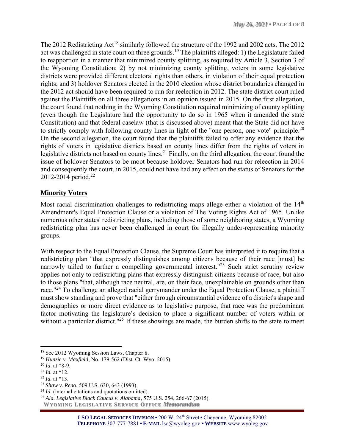The 2012 Redistricting Act<sup>18</sup> similarly followed the structure of the 1992 and 2002 acts. The 2012 act was challenged in state court on three grounds.<sup>19</sup> The plaintiffs alleged: 1) the Legislature failed to reapportion in a manner that minimized county splitting, as required by Article 3, Section 3 of the Wyoming Constitution; 2) by not minimizing county splitting, voters in some legislative districts were provided different electoral rights than others, in violation of their equal protection rights; and 3) holdover Senators elected in the 2010 election whose district boundaries changed in the 2012 act should have been required to run for reelection in 2012. The state district court ruled against the Plaintiffs on all three allegations in an opinion issued in 2015. On the first allegation, the court found that nothing in the Wyoming Constitution required minimizing of county splitting (even though the Legislature had the opportunity to do so in 1965 when it amended the state Constitution) and that federal caselaw (that is discussed above) meant that the State did not have to strictly comply with following county lines in light of the "one person, one vote" principle.<sup>20</sup> On the second allegation, the court found that the plaintiffs failed to offer any evidence that the rights of voters in legislative districts based on county lines differ from the rights of voters in legislative districts not based on county lines.<sup>21</sup> Finally, on the third allegation, the court found the issue of holdover Senators to be moot because holdover Senators had run for releection in 2014 and consequently the court, in 2015, could not have had any effect on the status of Senators for the 2012-2014 period.<sup>22</sup>

#### **Minority Voters**

Most racial discrimination challenges to redistricting maps allege either a violation of the 14<sup>th</sup> Amendment's Equal Protection Clause or a violation of The Voting Rights Act of 1965. Unlike numerous other states' redistricting plans, including those of some neighboring states, a Wyoming redistricting plan has never been challenged in court for illegally under-representing minority groups.

With respect to the Equal Protection Clause, the Supreme Court has interpreted it to require that a redistricting plan "that expressly distinguishes among citizens because of their race [must] be narrowly tailed to further a compelling governmental interest."<sup>23</sup> Such strict scrutiny review applies not only to redistricting plans that expressly distinguish citizens because of race, but also to those plans "that, although race neutral, are, on their face, unexplainable on grounds other than race."<sup>24</sup> To challenge an alleged racial gerrymander under the Equal Protection Clause, a plaintiff must show standing and prove that "either through circumstantial evidence of a district's shape and demographics or more direct evidence as to legislative purpose, that race was the predominant factor motivating the legislature's decision to place a significant number of voters within or without a particular district."<sup>25</sup> If these showings are made, the burden shifts to the state to meet

<sup>18</sup> See 2012 Wyoming Session Laws, Chapter 8.

<sup>19</sup> *Hunzie v. Maxfield*, No. 179-562 (Dist. Ct. Wyo. 2015).

<sup>20</sup> *Id*. at \*8-9.

 $^{21}$  *Id.* at \*12.

<sup>22</sup> *Id.* at \*13.

<sup>23</sup> *Shaw v. Reno*, 509 U.S. 630, 643 (1993).

<sup>&</sup>lt;sup>24</sup> *Id*. (internal citations and quotations omitted).

<sup>25</sup> *Ala. Legislative Black Caucus v. Alabama*, 575 U.S. 254, 266-67 (2015).

**WYO MIN G LEG ISLAT IV E SERV ICE OFF ICE** *Memorandum*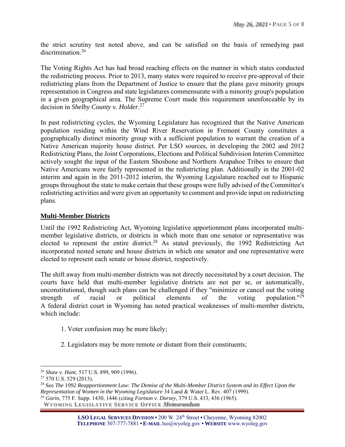the strict scrutiny test noted above, and can be satisfied on the basis of remedying past discrimination.<sup>26</sup>

The Voting Rights Act has had broad reaching effects on the manner in which states conducted the redistricting process. Prior to 2013, many states were required to receive pre-approval of their redistricting plans from the Department of Justice to ensure that the plans gave minority groups representation in Congress and state legislatures commensurate with a minority group's population in a given geographical area. The Supreme Court made this requirement unenforceable by its decision in *Shelby County v. Holder*. 27

In past redistricting cycles, the Wyoming Legislature has recognized that the Native American population residing within the Wind River Reservation in Fremont County constitutes a geographically distinct minority group with a sufficient population to warrant the creation of a Native American majority house district. Per LSO sources, in developing the 2002 and 2012 Redistricting Plans, the Joint Corporations, Elections and Political Subdivision Interim Committee actively sought the input of the Eastern Shoshone and Northern Arapahoe Tribes to ensure that Native Americans were fairly represented in the redistricting plan. Additionally in the 2001-02 interim and again in the 2011-2012 interim, the Wyoming Legislature reached out to Hispanic groups throughout the state to make certain that these groups were fully advised of the Committee's redistricting activities and were given an opportunity to comment and provide input on redistricting plans.

# **Multi-Member Districts**

Until the 1992 Redistricting Act, Wyoming legislative apportionment plans incorporated multimember legislative districts, or districts in which more than one senator or representative was elected to represent the entire district.<sup>28</sup> As stated previously, the 1992 Redistricting Act incorporated nested senate and house districts in which one senator and one representative were elected to represent each senate or house district, respectively.

The shift away from multi-member districts was not directly necessitated by a court decision. The courts have held that multi-member legislative districts are not per se, or automatically, unconstitutional, though such plans can be challenged if they "minimize or cancel out the voting strength of racial or political elements of the voting population."<sup>29</sup> A federal district court in Wyoming has noted practical weaknesses of multi-member districts, which include:

- 1. Voter confusion may be more likely;
- 2. Legislators may be more remote or distant from their constituents;

<sup>26</sup> *Shaw v. Hunt*, 517 U.S. 899, 909 (1996).

<sup>&</sup>lt;sup>27</sup> 570 U.S. 529 (2013).

<sup>28</sup> See *The 1992 Reapportionment Law: The Demise of the Multi-Member District System and its Effect Upon the Representation of Women in the Wyoming Legislature* 34 Land & Water L. Rev. 407 (1999).

<sup>29</sup> *Gorin*, 775 F. Supp. 1430, 1446 (citing *Fortson v. Dorsey*, 379 U.S. 433, 436 (1965).

**WYO MIN G LEG ISLAT IV E SERV ICE OFF ICE** *Memorandum*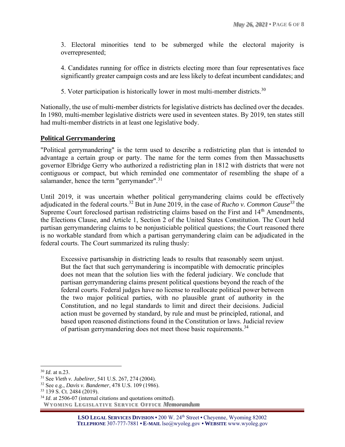3. Electoral minorities tend to be submerged while the electoral majority is overrepresented;

4. Candidates running for office in districts electing more than four representatives face significantly greater campaign costs and are less likely to defeat incumbent candidates; and

5. Voter participation is historically lower in most multi-member districts.<sup>30</sup>

Nationally, the use of multi-member districts for legislative districts has declined over the decades. In 1980, multi-member legislative districts were used in seventeen states. By 2019, ten states still had multi-member districts in at least one legislative body.

# **Political Gerrymandering**

"Political gerrymandering" is the term used to describe a redistricting plan that is intended to advantage a certain group or party. The name for the term comes from then Massachusetts governor Elbridge Gerry who authorized a redistricting plan in 1812 with districts that were not contiguous or compact, but which reminded one commentator of resembling the shape of a salamander, hence the term "gerrymander".<sup>31</sup>

Until 2019, it was uncertain whether political gerrymandering claims could be effectively adjudicated in the federal courts. <sup>32</sup> But in June 2019, in the case of *Rucho v. Common Cause<sup>33</sup>* the Supreme Court foreclosed partisan redistricting claims based on the First and 14<sup>th</sup> Amendments, the Elections Clause, and Article 1, Section 2 of the United States Constitution. The Court held partisan gerrymandering claims to be nonjusticiable political questions; the Court reasoned there is no workable standard from which a partisan gerrymandering claim can be adjudicated in the federal courts. The Court summarized its ruling thusly:

Excessive partisanship in districting leads to results that reasonably seem unjust. But the fact that such gerrymandering is incompatible with democratic principles does not mean that the solution lies with the federal judiciary. We conclude that partisan gerrymandering claims present political questions beyond the reach of the federal courts. Federal judges have no license to reallocate political power between the two major political parties, with no plausible grant of authority in the Constitution, and no legal standards to limit and direct their decisions. Judicial action must be governed by standard, by rule and must be principled, rational, and based upon reasoned distinctions found in the Constitution or laws. Judicial review of partisan gerrymandering does not meet those basic requirements.<sup>34</sup>

<sup>30</sup> *Id*. at n.23.

<sup>31</sup> See *Vieth v. Jubelirer*, 541 U.S. 267, 274 (2004).

<sup>32</sup> See e.g., *Davis v. Bandemer*, 478 U.S. 109 (1986).

<sup>33</sup> 139 S. Ct. 2484 (2019).

**WYO MIN G LEG ISLAT IV E SERV ICE OFF ICE** *Memorandum* <sup>34</sup> *Id.* at 2506-07 (internal citations and quotations omitted).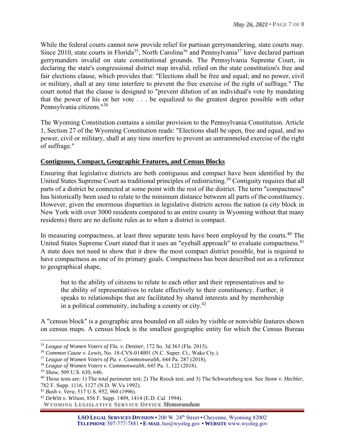While the federal courts cannot now provide relief for partisan gerrymandering, state courts may. Since 2010, state courts in Florida<sup>35</sup>, North Carolina<sup>36</sup> and Pennsylvania<sup>37</sup> have declared partisan gerrymanders invalid on state constitutional grounds. The Pennsylvania Supreme Court, in declaring the state's congressional district map invalid, relied on the state constitution's free and fair elections clause, which provides that: "Elections shall be free and equal; and no power, civil or military, shall at any time interfere to prevent the free exercise of the right of suffrage." The court noted that the clause is designed to "prevent dilution of an individual's vote by mandating that the power of his or her vote . . . be equalized to the greatest degree possible with other Pennsylvania citizens."<sup>38</sup>

The Wyoming Constitution contains a similar provision to the Pennsylvania Constitution. Article 1, Section 27 of the Wyoming Constitution reads: "Elections shall be open, free and equal, and no power, civil or military, shall at any time interfere to prevent an untrammeled exercise of the right of suffrage."

# **Contiguous, Compact, Geographic Features, and Census Blocks**

Ensuring that legislative districts are both contiguous and compact have been identified by the United States Supreme Court as traditional principles of redistricting.<sup>39</sup> Contiguity requires that all parts of a district be connected at some point with the rest of the district. The term "compactness" has historically been used to relate to the minimum distance between all parts of the constituency. However, given the enormous disparities in legislative districts across the nation (a city block in New York with over 3000 residents compared to an entire county in Wyoming without that many residents) there are no definite rules as to when a district is compact.

In measuring compactness, at least three separate tests have been employed by the courts.<sup>40</sup> The United States Supreme Court stated that it uses an "eyeball approach" to evaluate compactness.<sup>41</sup> A state does not need to show that it drew the most compact district possible, but is required to have compactness as one of its primary goals. Compactness has been described not as a reference to geographical shape,

but to the ability of citizens to relate to each other and their representatives and to the ability of representatives to relate effectively to their constituency. Further, it speaks to relationships that are facilitated by shared interests and by membership in a political community, including a county or city.<sup>42</sup>

A "census block" is a geographic area bounded on all sides by visible or nonvisble features shown on census maps. A census block is the smallest geographic entity for which the Census Bureau

<sup>38</sup> *League of Women Voters v. Commonwealth*, 645 Pa. 1, 122 (2018).

<sup>35</sup> *League of Women Voters of Fla. v. Detzner*, 172 So. 3d 363 (Fla. 2015).

<sup>36</sup> *Common Cause v. Lewis*, No. 18-CVS-014001 (N.C. Super. Ct., Wake Cty.).

<sup>37</sup> *League of Women Voters of Pa. v. Commonwealth,* 644 Pa. 287 (2018)*.*

<sup>39</sup> *Shaw*, 509 U.S. 630, 646.

<sup>40</sup> Those tests are: 1) The total perimeter test; 2) The Reock test; and 3) The Schwartzberg test. See *Stone v. Hechler*, 782 F. Supp. 1116, 1127 (N.D. W.Va 1992).

<sup>41</sup> *Bush v. Vera*, 517 U.S. 952, 960 (1996).

<sup>42</sup> *DeWitt v. Wilson*, 856 F. Supp. 1409, 1414 (E.D. Cal. 1994).

**WYO MIN G LEG ISLAT IV E SERV ICE OFF ICE** *Memorandum*